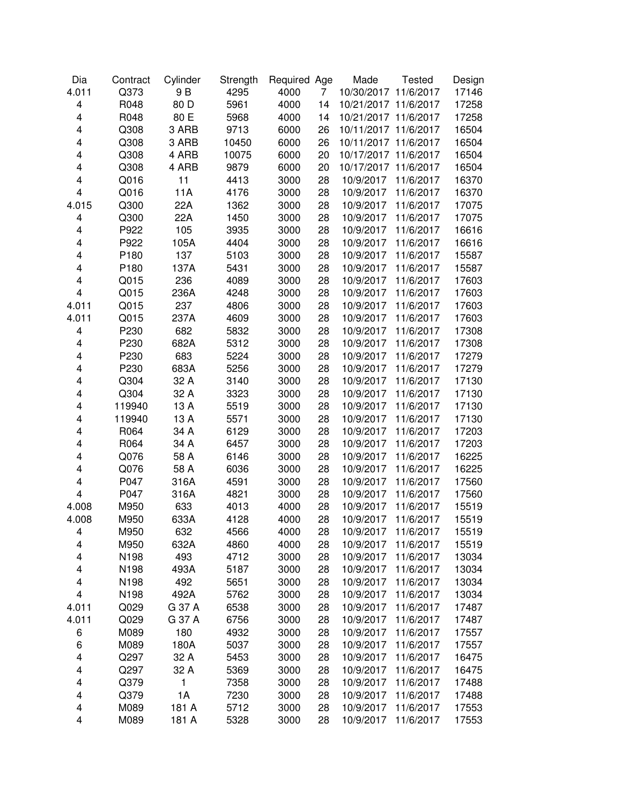| Dia                     | Contract | Cylinder | Strength | Required Age |    | Made       | <b>Tested</b> | Design |
|-------------------------|----------|----------|----------|--------------|----|------------|---------------|--------|
| 4.011                   | Q373     | 9 B      | 4295     | 4000         | 7  | 10/30/2017 | 11/6/2017     | 17146  |
| 4                       | R048     | 80 D     | 5961     | 4000         | 14 | 10/21/2017 | 11/6/2017     | 17258  |
| $\overline{\mathbf{4}}$ | R048     | 80 E     | 5968     | 4000         | 14 | 10/21/2017 | 11/6/2017     | 17258  |
| 4                       | Q308     | 3 ARB    | 9713     | 6000         | 26 | 10/11/2017 | 11/6/2017     | 16504  |
| 4                       | Q308     | 3 ARB    | 10450    | 6000         | 26 | 10/11/2017 | 11/6/2017     | 16504  |
| 4                       | Q308     | 4 ARB    | 10075    | 6000         | 20 | 10/17/2017 | 11/6/2017     | 16504  |
| 4                       | Q308     | 4 ARB    | 9879     | 6000         | 20 | 10/17/2017 | 11/6/2017     | 16504  |
| 4                       | Q016     | 11       | 4413     | 3000         | 28 | 10/9/2017  | 11/6/2017     | 16370  |
| 4                       | Q016     | 11A      | 4176     | 3000         | 28 | 10/9/2017  | 11/6/2017     | 16370  |
| 4.015                   | Q300     | 22A      | 1362     | 3000         | 28 | 10/9/2017  | 11/6/2017     | 17075  |
| 4                       | Q300     | 22A      | 1450     | 3000         | 28 | 10/9/2017  | 11/6/2017     | 17075  |
| 4                       | P922     | 105      | 3935     | 3000         | 28 | 10/9/2017  | 11/6/2017     | 16616  |
| $\overline{\mathbf{4}}$ | P922     | 105A     | 4404     | 3000         | 28 | 10/9/2017  | 11/6/2017     | 16616  |
| 4                       | P180     | 137      | 5103     | 3000         | 28 | 10/9/2017  | 11/6/2017     | 15587  |
| $\overline{\mathbf{4}}$ | P180     | 137A     | 5431     | 3000         | 28 | 10/9/2017  | 11/6/2017     | 15587  |
| 4                       | Q015     | 236      | 4089     | 3000         | 28 | 10/9/2017  | 11/6/2017     | 17603  |
| $\overline{\mathbf{4}}$ | Q015     | 236A     | 4248     | 3000         | 28 | 10/9/2017  | 11/6/2017     | 17603  |
| 4.011                   | Q015     | 237      | 4806     | 3000         | 28 | 10/9/2017  | 11/6/2017     | 17603  |
| 4.011                   | Q015     | 237A     | 4609     | 3000         | 28 | 10/9/2017  | 11/6/2017     | 17603  |
| 4                       | P230     | 682      | 5832     | 3000         | 28 | 10/9/2017  | 11/6/2017     | 17308  |
| 4                       | P230     | 682A     | 5312     | 3000         | 28 | 10/9/2017  | 11/6/2017     | 17308  |
| $\overline{\mathbf{4}}$ | P230     | 683      | 5224     | 3000         | 28 | 10/9/2017  | 11/6/2017     | 17279  |
| 4                       | P230     | 683A     | 5256     | 3000         | 28 | 10/9/2017  | 11/6/2017     | 17279  |
| 4                       | Q304     | 32 A     | 3140     | 3000         | 28 | 10/9/2017  | 11/6/2017     | 17130  |
| 4                       | Q304     | 32 A     | 3323     | 3000         | 28 | 10/9/2017  | 11/6/2017     | 17130  |
| 4                       | 119940   | 13 A     | 5519     | 3000         | 28 | 10/9/2017  | 11/6/2017     | 17130  |
| 4                       | 119940   | 13 A     | 5571     | 3000         | 28 | 10/9/2017  | 11/6/2017     | 17130  |
| 4                       | R064     | 34 A     | 6129     | 3000         | 28 | 10/9/2017  | 11/6/2017     | 17203  |
| 4                       | R064     | 34 A     | 6457     | 3000         | 28 | 10/9/2017  | 11/6/2017     | 17203  |
| 4                       | Q076     | 58 A     | 6146     | 3000         | 28 | 10/9/2017  | 11/6/2017     | 16225  |
| 4                       | Q076     | 58 A     | 6036     | 3000         | 28 | 10/9/2017  | 11/6/2017     | 16225  |
| 4                       | P047     | 316A     | 4591     | 3000         | 28 | 10/9/2017  | 11/6/2017     | 17560  |
| $\overline{\mathbf{4}}$ | P047     | 316A     | 4821     | 3000         | 28 | 10/9/2017  | 11/6/2017     | 17560  |
| 4.008                   | M950     | 633      | 4013     | 4000         | 28 | 10/9/2017  | 11/6/2017     | 15519  |
| 4.008                   | M950     | 633A     | 4128     | 4000         | 28 | 10/9/2017  | 11/6/2017     | 15519  |
| 4                       | M950     | 632      | 4566     | 4000         | 28 | 10/9/2017  | 11/6/2017     | 15519  |
| 4                       | M950     | 632A     | 4860     | 4000         | 28 | 10/9/2017  | 11/6/2017     | 15519  |
| 4                       | N198     | 493      | 4712     | 3000         | 28 | 10/9/2017  | 11/6/2017     | 13034  |
| 4                       | N198     | 493A     | 5187     | 3000         | 28 | 10/9/2017  | 11/6/2017     | 13034  |
| 4                       | N198     | 492      | 5651     | 3000         | 28 | 10/9/2017  | 11/6/2017     | 13034  |
| 4                       | N198     | 492A     | 5762     | 3000         | 28 | 10/9/2017  | 11/6/2017     | 13034  |
| 4.011                   | Q029     | G 37 A   | 6538     | 3000         | 28 | 10/9/2017  | 11/6/2017     | 17487  |
| 4.011                   | Q029     | G 37 A   | 6756     | 3000         | 28 | 10/9/2017  | 11/6/2017     | 17487  |
| 6                       | M089     | 180      | 4932     | 3000         | 28 | 10/9/2017  | 11/6/2017     | 17557  |
| 6                       | M089     | 180A     | 5037     | 3000         | 28 | 10/9/2017  | 11/6/2017     | 17557  |
| 4                       | Q297     | 32 A     | 5453     | 3000         | 28 | 10/9/2017  | 11/6/2017     | 16475  |
| 4                       | Q297     | 32 A     | 5369     | 3000         | 28 | 10/9/2017  | 11/6/2017     | 16475  |
| 4                       | Q379     | 1        | 7358     | 3000         | 28 | 10/9/2017  | 11/6/2017     | 17488  |
| 4                       | Q379     | 1A       | 7230     | 3000         | 28 | 10/9/2017  | 11/6/2017     | 17488  |
| 4                       | M089     | 181 A    | 5712     | 3000         | 28 | 10/9/2017  | 11/6/2017     | 17553  |
| 4                       | M089     | 181 A    | 5328     | 3000         | 28 | 10/9/2017  | 11/6/2017     | 17553  |
|                         |          |          |          |              |    |            |               |        |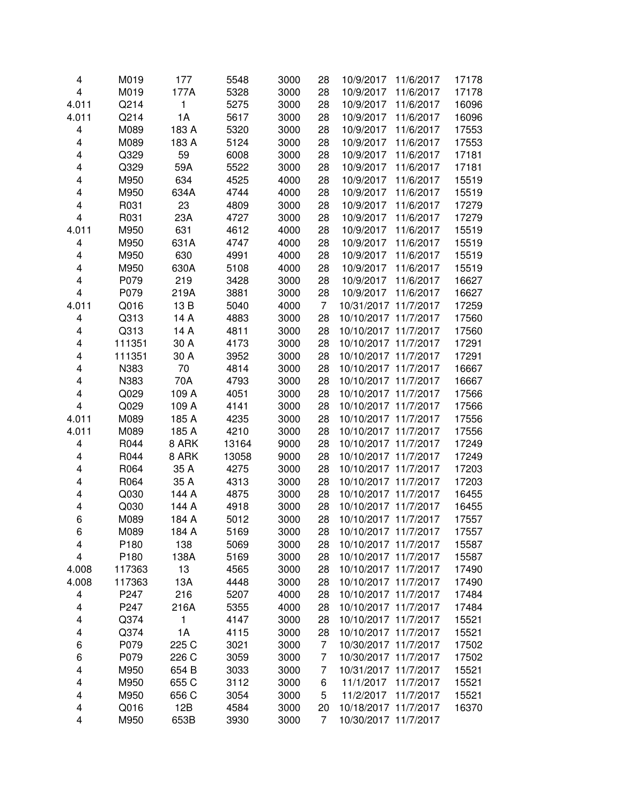| 4                       | M019   | 177   | 5548  | 3000 | 28 | 10/9/2017            | 11/6/2017 | 17178 |
|-------------------------|--------|-------|-------|------|----|----------------------|-----------|-------|
| $\overline{\mathbf{4}}$ | M019   | 177A  | 5328  | 3000 | 28 | 10/9/2017            | 11/6/2017 | 17178 |
| 4.011                   | Q214   | 1     | 5275  | 3000 | 28 | 10/9/2017            | 11/6/2017 | 16096 |
| 4.011                   | Q214   | 1A    | 5617  | 3000 | 28 | 10/9/2017            | 11/6/2017 | 16096 |
| 4                       | M089   | 183 A | 5320  | 3000 | 28 | 10/9/2017            | 11/6/2017 | 17553 |
| 4                       |        | 183 A |       |      |    |                      |           |       |
|                         | M089   |       | 5124  | 3000 | 28 | 10/9/2017            | 11/6/2017 | 17553 |
| 4                       | Q329   | 59    | 6008  | 3000 | 28 | 10/9/2017            | 11/6/2017 | 17181 |
| 4                       | Q329   | 59A   | 5522  | 3000 | 28 | 10/9/2017            | 11/6/2017 | 17181 |
| 4                       | M950   | 634   | 4525  | 4000 | 28 | 10/9/2017            | 11/6/2017 | 15519 |
| 4                       | M950   | 634A  | 4744  | 4000 | 28 | 10/9/2017            | 11/6/2017 | 15519 |
| 4                       | R031   | 23    | 4809  | 3000 | 28 | 10/9/2017            | 11/6/2017 | 17279 |
| $\overline{\mathbf{4}}$ | R031   | 23A   | 4727  | 3000 | 28 | 10/9/2017            | 11/6/2017 | 17279 |
| 4.011                   | M950   | 631   | 4612  | 4000 | 28 | 10/9/2017            | 11/6/2017 | 15519 |
| 4                       | M950   | 631A  | 4747  | 4000 | 28 | 10/9/2017            | 11/6/2017 | 15519 |
| 4                       | M950   | 630   | 4991  | 4000 | 28 | 10/9/2017            | 11/6/2017 | 15519 |
| $\overline{\mathbf{4}}$ | M950   | 630A  | 5108  | 4000 | 28 | 10/9/2017            | 11/6/2017 | 15519 |
| 4                       | P079   | 219   | 3428  | 3000 | 28 | 10/9/2017            | 11/6/2017 | 16627 |
| $\overline{\mathbf{4}}$ | P079   | 219A  | 3881  | 3000 | 28 | 10/9/2017            | 11/6/2017 | 16627 |
| 4.011                   | Q016   | 13 B  | 5040  | 4000 | 7  | 10/31/2017           | 11/7/2017 | 17259 |
| 4                       | Q313   | 14 A  | 4883  | 3000 | 28 | 10/10/2017           | 11/7/2017 | 17560 |
| 4                       | Q313   | 14 A  | 4811  | 3000 | 28 | 10/10/2017 11/7/2017 |           | 17560 |
| 4                       | 111351 | 30 A  | 4173  | 3000 | 28 | 10/10/2017 11/7/2017 |           | 17291 |
| 4                       | 111351 | 30 A  | 3952  | 3000 | 28 | 10/10/2017 11/7/2017 |           | 17291 |
| 4                       | N383   | 70    | 4814  | 3000 | 28 | 10/10/2017 11/7/2017 |           | 16667 |
| 4                       | N383   | 70A   | 4793  | 3000 | 28 | 10/10/2017 11/7/2017 |           | 16667 |
| 4                       | Q029   | 109 A | 4051  | 3000 | 28 | 10/10/2017 11/7/2017 |           | 17566 |
| $\overline{\mathbf{4}}$ | Q029   | 109 A | 4141  | 3000 | 28 | 10/10/2017 11/7/2017 |           | 17566 |
| 4.011                   | M089   | 185 A | 4235  | 3000 | 28 | 10/10/2017 11/7/2017 |           | 17556 |
| 4.011                   | M089   | 185 A | 4210  | 3000 | 28 | 10/10/2017 11/7/2017 |           | 17556 |
| 4                       | R044   | 8 ARK | 13164 | 9000 | 28 | 10/10/2017 11/7/2017 |           | 17249 |
| 4                       | R044   | 8 ARK | 13058 | 9000 | 28 | 10/10/2017 11/7/2017 |           | 17249 |
| 4                       | R064   | 35 A  | 4275  | 3000 | 28 | 10/10/2017 11/7/2017 |           | 17203 |
| 4                       | R064   | 35 A  | 4313  | 3000 | 28 | 10/10/2017 11/7/2017 |           | 17203 |
| 4                       | Q030   | 144 A | 4875  | 3000 | 28 | 10/10/2017 11/7/2017 |           | 16455 |
| 4                       | Q030   | 144 A | 4918  | 3000 | 28 | 10/10/2017           | 11/7/2017 | 16455 |
| 6                       | M089   | 184 A | 5012  | 3000 | 28 | 10/10/2017 11/7/2017 |           | 17557 |
| 6                       | M089   | 184 A | 5169  | 3000 | 28 | 10/10/2017 11/7/2017 |           | 17557 |
| 4                       | P180   | 138   | 5069  | 3000 | 28 | 10/10/2017 11/7/2017 |           | 15587 |
| 4                       | P180   | 138A  | 5169  | 3000 | 28 | 10/10/2017 11/7/2017 |           | 15587 |
| 4.008                   | 117363 | 13    | 4565  | 3000 | 28 | 10/10/2017 11/7/2017 |           | 17490 |
| 4.008                   | 117363 | 13A   | 4448  | 3000 | 28 | 10/10/2017 11/7/2017 |           | 17490 |
| 4                       | P247   | 216   | 5207  | 4000 | 28 | 10/10/2017 11/7/2017 |           | 17484 |
| 4                       | P247   | 216A  | 5355  | 4000 | 28 | 10/10/2017 11/7/2017 |           | 17484 |
| 4                       | Q374   | 1     | 4147  | 3000 | 28 | 10/10/2017 11/7/2017 |           | 15521 |
| 4                       | Q374   | 1A    | 4115  | 3000 | 28 | 10/10/2017 11/7/2017 |           | 15521 |
| 6                       | P079   | 225 C | 3021  | 3000 | 7  | 10/30/2017 11/7/2017 |           | 17502 |
| 6                       | P079   | 226 C | 3059  | 3000 | 7  | 10/30/2017 11/7/2017 |           | 17502 |
| 4                       | M950   | 654 B | 3033  | 3000 | 7  | 10/31/2017 11/7/2017 |           | 15521 |
| 4                       | M950   | 655 C | 3112  | 3000 | 6  | 11/1/2017            | 11/7/2017 | 15521 |
| 4                       | M950   | 656 C | 3054  | 3000 | 5  | 11/2/2017            | 11/7/2017 | 15521 |
| 4                       | Q016   | 12B   | 4584  | 3000 | 20 | 10/18/2017           | 11/7/2017 | 16370 |
| 4                       | M950   | 653B  | 3930  | 3000 | 7  | 10/30/2017           | 11/7/2017 |       |
|                         |        |       |       |      |    |                      |           |       |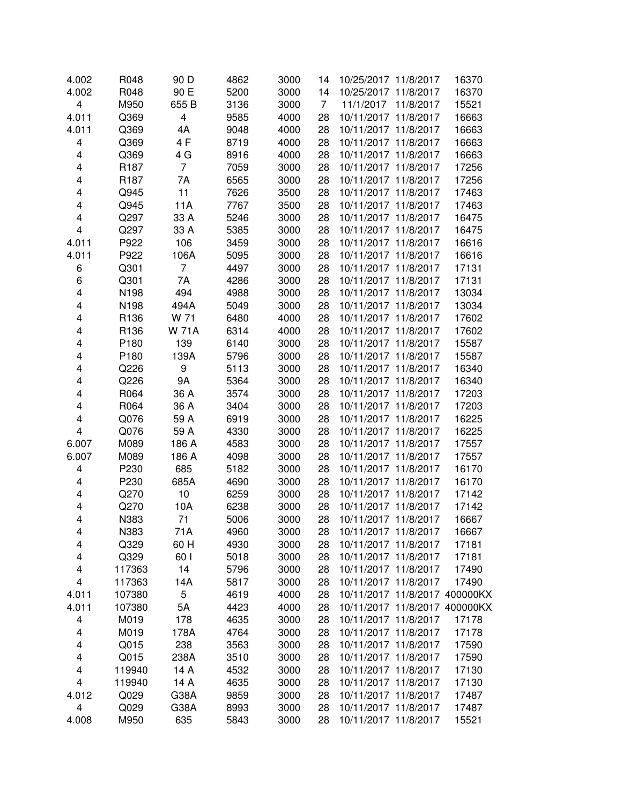| 4.002 | R048             | 90 D         | 4862 | 3000 | 14             | 10/25/2017 11/8/2017          |           | 16370 |
|-------|------------------|--------------|------|------|----------------|-------------------------------|-----------|-------|
| 4.002 | R048             | 90 E         | 5200 | 3000 | 14             | 10/25/2017 11/8/2017          |           | 16370 |
| 4     | M950             | 655 B        | 3136 | 3000 | $\overline{7}$ | 11/1/2017                     | 11/8/2017 | 15521 |
| 4.011 | Q369             | 4            | 9585 | 4000 | 28             | 10/11/2017                    | 11/8/2017 | 16663 |
| 4.011 | Q369             | 4A           | 9048 | 4000 | 28             | 10/11/2017 11/8/2017          |           | 16663 |
| 4     | Q369             | 4F           | 8719 | 4000 | 28             | 10/11/2017 11/8/2017          |           | 16663 |
| 4     | Q369             | 4 G          | 8916 | 4000 | 28             | 10/11/2017 11/8/2017          |           | 16663 |
| 4     | R <sub>187</sub> | 7            | 7059 | 3000 | 28             | 10/11/2017 11/8/2017          |           | 17256 |
| 4     | R <sub>187</sub> | 7A           | 6565 | 3000 | 28             | 10/11/2017 11/8/2017          |           | 17256 |
| 4     | Q945             | 11           | 7626 | 3500 | 28             | 10/11/2017 11/8/2017          |           | 17463 |
| 4     | Q945             | 11A          | 7767 | 3500 | 28             | 10/11/2017 11/8/2017          |           | 17463 |
| 4     | Q297             | 33 A         | 5246 | 3000 | 28             | 10/11/2017 11/8/2017          |           | 16475 |
| 4     | Q297             | 33 A         | 5385 | 3000 | 28             | 10/11/2017 11/8/2017          |           | 16475 |
| 4.011 | P922             | 106          | 3459 | 3000 | 28             | 10/11/2017 11/8/2017          |           | 16616 |
| 4.011 | P922             | 106A         | 5095 | 3000 | 28             | 10/11/2017 11/8/2017          |           | 16616 |
| 6     | Q301             | 7            | 4497 | 3000 | 28             | 10/11/2017 11/8/2017          |           | 17131 |
| 6     | Q301             | 7A           | 4286 | 3000 | 28             | 10/11/2017 11/8/2017          |           | 17131 |
| 4     | N198             | 494          | 4988 | 3000 | 28             | 10/11/2017 11/8/2017          |           | 13034 |
| 4     | N198             | 494A         | 5049 | 3000 | 28             | 10/11/2017 11/8/2017          |           | 13034 |
| 4     | R136             | W 71         | 6480 | 4000 | 28             | 10/11/2017 11/8/2017          |           | 17602 |
| 4     | R136             | <b>W 71A</b> | 6314 | 4000 | 28             | 10/11/2017 11/8/2017          |           | 17602 |
| 4     | P180             | 139          | 6140 | 3000 | 28             | 10/11/2017 11/8/2017          |           | 15587 |
| 4     | P <sub>180</sub> | 139A         | 5796 | 3000 | 28             | 10/11/2017 11/8/2017          |           | 15587 |
| 4     | Q226             | 9            | 5113 | 3000 | 28             | 10/11/2017 11/8/2017          |           | 16340 |
| 4     | Q226             | <b>9A</b>    | 5364 | 3000 | 28             | 10/11/2017 11/8/2017          |           | 16340 |
| 4     | R064             | 36 A         | 3574 | 3000 | 28             | 10/11/2017 11/8/2017          |           | 17203 |
| 4     | R064             | 36 A         | 3404 | 3000 | 28             | 10/11/2017 11/8/2017          |           | 17203 |
| 4     | Q076             | 59 A         | 6919 | 3000 | 28             | 10/11/2017 11/8/2017          |           | 16225 |
| 4     | Q076             | 59 A         | 4330 | 3000 | 28             | 10/11/2017 11/8/2017          |           | 16225 |
| 6.007 | M089             | 186 A        | 4583 | 3000 | 28             | 10/11/2017 11/8/2017          |           | 17557 |
| 6.007 | M089             | 186 A        | 4098 | 3000 | 28             | 10/11/2017 11/8/2017          |           | 17557 |
| 4     | P230             | 685          | 5182 | 3000 | 28             | 10/11/2017 11/8/2017          |           | 16170 |
| 4     | P230             | 685A         | 4690 | 3000 | 28             | 10/11/2017 11/8/2017          |           | 16170 |
| 4     | Q270             | 10           | 6259 | 3000 | 28             | 10/11/2017 11/8/2017          |           | 17142 |
| 4     | Q270             | 10A          | 6238 | 3000 | 28             | 10/11/2017 11/8/2017          |           | 17142 |
| 4     | N383             | 71           | 5006 | 3000 | 28             | 10/11/2017 11/8/2017          |           | 16667 |
| 4     | N383             | 71A          | 4960 | 3000 | 28             | 10/11/2017 11/8/2017          |           | 16667 |
| 4     | Q329             | 60 H         | 4930 | 3000 | 28             | 10/11/2017 11/8/2017          |           | 17181 |
| 4     | Q329             | 60           | 5018 | 3000 | 28             | 10/11/2017 11/8/2017          |           | 17181 |
| 4     | 117363           | 14           | 5796 | 3000 | 28             | 10/11/2017 11/8/2017          |           | 17490 |
| 4     | 117363           | 14A          | 5817 | 3000 | 28             | 10/11/2017 11/8/2017          |           | 17490 |
| 4.011 | 107380           | 5            | 4619 | 4000 | 28             | 10/11/2017 11/8/2017 400000KX |           |       |
| 4.011 | 107380           | 5A           | 4423 | 4000 | 28             | 10/11/2017 11/8/2017 400000KX |           |       |
| 4     | M019             | 178          | 4635 | 3000 | 28             | 10/11/2017 11/8/2017          |           | 17178 |
| 4     | M019             | 178A         | 4764 | 3000 | 28             | 10/11/2017 11/8/2017          |           | 17178 |
| 4     | Q015             | 238          | 3563 | 3000 | 28             | 10/11/2017 11/8/2017          |           | 17590 |
| 4     | Q015             | 238A         | 3510 | 3000 | 28             | 10/11/2017 11/8/2017          |           | 17590 |
| 4     | 119940           | 14 A         | 4532 | 3000 | 28             | 10/11/2017 11/8/2017          |           | 17130 |
| 4     | 119940           | 14 A         | 4635 | 3000 | 28             | 10/11/2017 11/8/2017          |           | 17130 |
| 4.012 | Q029             | G38A         | 9859 | 3000 | 28             | 10/11/2017 11/8/2017          |           | 17487 |
| 4     | Q029             | G38A         | 8993 | 3000 | 28             | 10/11/2017 11/8/2017          |           | 17487 |
| 4.008 | M950             | 635          | 5843 | 3000 | 28             | 10/11/2017 11/8/2017          |           | 15521 |
|       |                  |              |      |      |                |                               |           |       |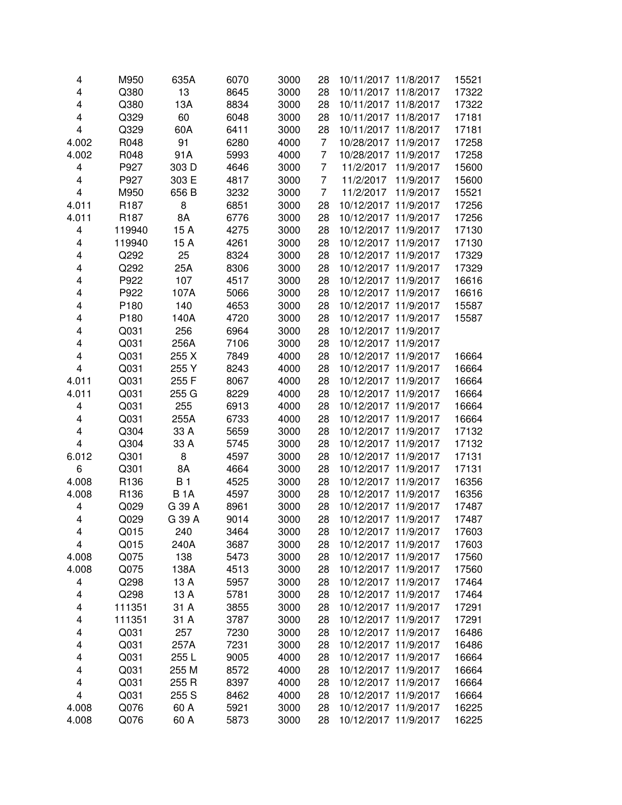| 4     | M950             | 635A       | 6070 | 3000 | 28 | 10/11/2017 11/8/2017    | 15521 |
|-------|------------------|------------|------|------|----|-------------------------|-------|
| 4     | Q380             | 13         | 8645 | 3000 | 28 | 10/11/2017 11/8/2017    | 17322 |
| 4     | Q380             | 13A        | 8834 | 3000 | 28 | 10/11/2017<br>11/8/2017 | 17322 |
| 4     | Q329             | 60         | 6048 | 3000 | 28 | 10/11/2017<br>11/8/2017 | 17181 |
| 4     | Q329             | 60A        | 6411 | 3000 | 28 | 10/11/2017<br>11/8/2017 | 17181 |
| 4.002 | R048             | 91         | 6280 | 4000 | 7  | 11/9/2017<br>10/28/2017 | 17258 |
| 4.002 | R048             | 91A        | 5993 | 4000 | 7  | 11/9/2017<br>10/28/2017 | 17258 |
| 4     | P927             | 303 D      | 4646 | 3000 | 7  | 11/9/2017<br>11/2/2017  | 15600 |
| 4     | P927             | 303 E      | 4817 | 3000 | 7  | 11/2/2017<br>11/9/2017  | 15600 |
| 4     | M950             | 656 B      | 3232 | 3000 | 7  | 11/9/2017<br>11/2/2017  | 15521 |
| 4.011 | R <sub>187</sub> | 8          | 6851 | 3000 | 28 | 10/12/2017 11/9/2017    | 17256 |
| 4.011 | R <sub>187</sub> | 8A         | 6776 | 3000 | 28 | 10/12/2017 11/9/2017    | 17256 |
| 4     | 119940           | 15 A       | 4275 | 3000 | 28 | 10/12/2017 11/9/2017    | 17130 |
| 4     | 119940           | 15 A       | 4261 | 3000 | 28 | 10/12/2017 11/9/2017    | 17130 |
| 4     | Q292             | 25         | 8324 | 3000 | 28 | 10/12/2017 11/9/2017    | 17329 |
| 4     | Q292             | 25A        | 8306 | 3000 | 28 | 10/12/2017 11/9/2017    | 17329 |
| 4     | P922             | 107        | 4517 | 3000 | 28 | 10/12/2017 11/9/2017    | 16616 |
| 4     | P922             | 107A       | 5066 | 3000 | 28 | 10/12/2017 11/9/2017    | 16616 |
| 4     | P180             | 140        | 4653 | 3000 | 28 | 10/12/2017 11/9/2017    | 15587 |
| 4     | P180             | 140A       | 4720 | 3000 | 28 | 10/12/2017 11/9/2017    | 15587 |
| 4     | Q031             | 256        | 6964 | 3000 | 28 | 10/12/2017 11/9/2017    |       |
| 4     | Q031             | 256A       | 7106 | 3000 | 28 | 10/12/2017 11/9/2017    |       |
| 4     | Q031             | 255 X      | 7849 | 4000 | 28 | 10/12/2017 11/9/2017    | 16664 |
| 4     | Q031             | 255 Y      | 8243 | 4000 | 28 | 10/12/2017 11/9/2017    | 16664 |
| 4.011 | Q031             | 255F       | 8067 | 4000 | 28 | 10/12/2017 11/9/2017    | 16664 |
| 4.011 | Q031             | 255 G      | 8229 | 4000 | 28 | 10/12/2017 11/9/2017    | 16664 |
| 4     | Q031             | 255        | 6913 | 4000 | 28 | 10/12/2017 11/9/2017    | 16664 |
| 4     | Q031             | 255A       | 6733 | 4000 | 28 | 10/12/2017 11/9/2017    | 16664 |
| 4     | Q304             | 33 A       | 5659 | 3000 | 28 | 10/12/2017 11/9/2017    | 17132 |
| 4     | Q304             | 33 A       | 5745 | 3000 | 28 | 10/12/2017 11/9/2017    | 17132 |
| 6.012 | Q301             | 8          | 4597 | 3000 | 28 | 10/12/2017 11/9/2017    | 17131 |
| 6     | Q301             | 8A         | 4664 | 3000 | 28 | 10/12/2017 11/9/2017    | 17131 |
| 4.008 | R136             | <b>B1</b>  | 4525 | 3000 | 28 | 10/12/2017 11/9/2017    | 16356 |
| 4.008 | R136             | <b>B1A</b> | 4597 | 3000 | 28 | 10/12/2017 11/9/2017    | 16356 |
| 4     | Q029             | G 39 A     | 8961 | 3000 | 28 | 10/12/2017 11/9/2017    | 17487 |
| 4     | Q029             | G 39 A     | 9014 | 3000 | 28 | 10/12/2017 11/9/2017    | 17487 |
| 4     | Q015             | 240        | 3464 | 3000 | 28 | 10/12/2017 11/9/2017    | 17603 |
| 4     | Q015             | 240A       | 3687 | 3000 | 28 | 10/12/2017 11/9/2017    | 17603 |
| 4.008 | Q075             | 138        | 5473 | 3000 | 28 | 10/12/2017 11/9/2017    | 17560 |
| 4.008 | Q075             | 138A       | 4513 | 3000 | 28 | 10/12/2017 11/9/2017    | 17560 |
| 4     | Q298             | 13 A       | 5957 | 3000 | 28 | 10/12/2017 11/9/2017    | 17464 |
| 4     | Q298             | 13 A       | 5781 | 3000 | 28 | 10/12/2017 11/9/2017    | 17464 |
| 4     | 111351           | 31 A       | 3855 | 3000 | 28 | 10/12/2017 11/9/2017    | 17291 |
| 4     | 111351           | 31 A       | 3787 | 3000 | 28 | 10/12/2017 11/9/2017    | 17291 |
| 4     | Q031             | 257        | 7230 | 3000 | 28 | 10/12/2017 11/9/2017    | 16486 |
| 4     | Q031             | 257A       | 7231 | 3000 | 28 | 10/12/2017 11/9/2017    | 16486 |
| 4     | Q031             | 255L       | 9005 | 4000 | 28 | 10/12/2017 11/9/2017    | 16664 |
| 4     | Q031             | 255 M      | 8572 | 4000 | 28 | 10/12/2017 11/9/2017    | 16664 |
| 4     | Q031             | 255 R      | 8397 | 4000 | 28 | 10/12/2017 11/9/2017    | 16664 |
| 4     | Q031             | 255 S      | 8462 | 4000 | 28 | 10/12/2017 11/9/2017    | 16664 |
|       | Q076             | 60 A       |      | 3000 |    | 10/12/2017 11/9/2017    |       |
| 4.008 |                  |            | 5921 |      | 28 |                         | 16225 |
| 4.008 | Q076             | 60 A       | 5873 | 3000 | 28 | 10/12/2017 11/9/2017    | 16225 |